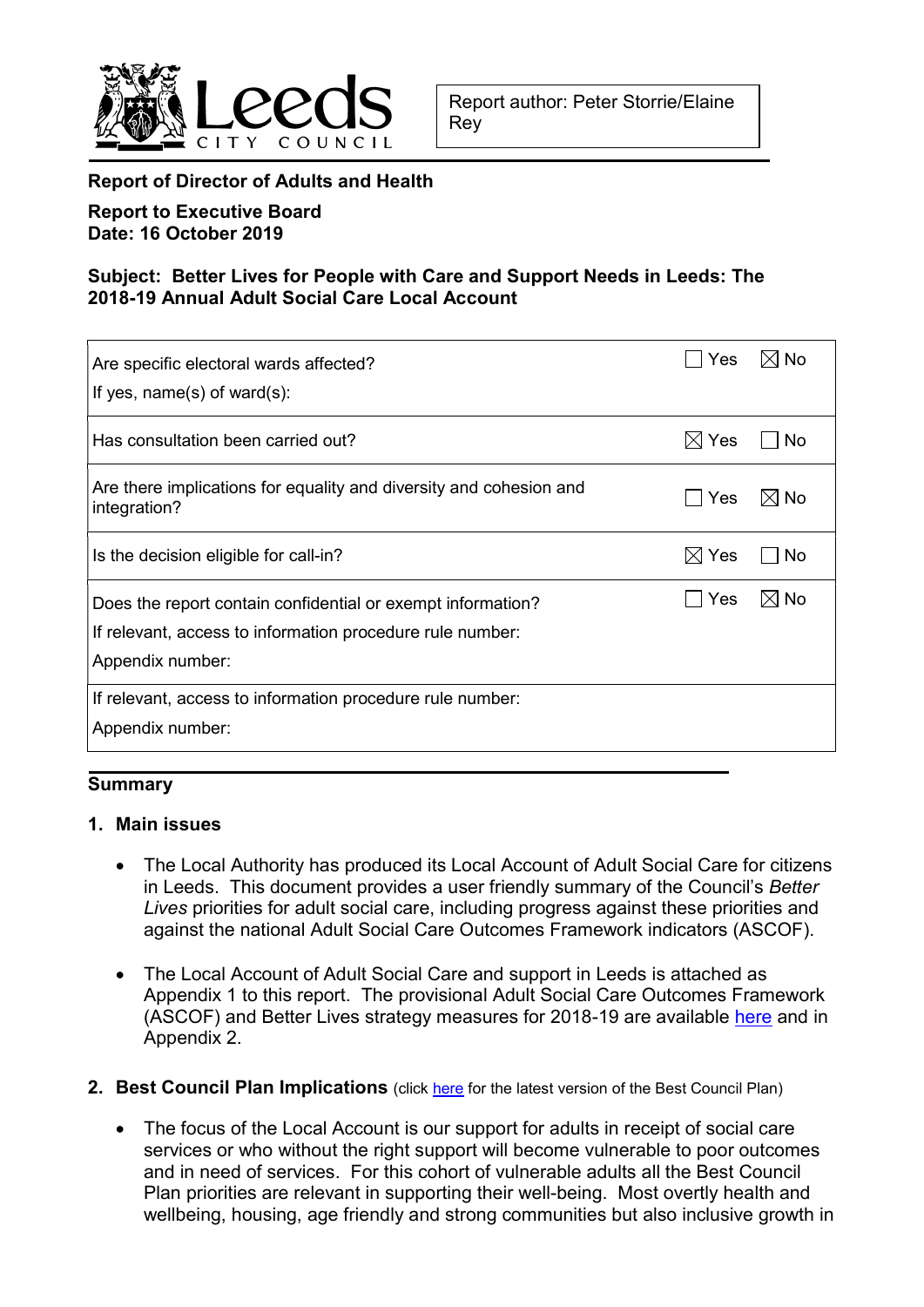

## Report of Director of Adults and Health

Report to Executive Board Date: 16 October 2019

## Subject: Better Lives for People with Care and Support Needs in Leeds: The 2018-19 Annual Adult Social Care Local Account

| Are specific electoral wards affected?<br>If yes, $name(s)$ of ward $(s)$ :                                                                  | Yes             | $\boxtimes$ No |
|----------------------------------------------------------------------------------------------------------------------------------------------|-----------------|----------------|
| Has consultation been carried out?                                                                                                           | $\boxtimes$ Yes | No             |
| Are there implications for equality and diversity and cohesion and<br>integration?                                                           | Yes             | $\boxtimes$ No |
| Is the decision eligible for call-in?                                                                                                        | $\boxtimes$ Yes | No             |
| Does the report contain confidential or exempt information?<br>If relevant, access to information procedure rule number:<br>Appendix number: | Yes             | ⊠ No           |
| If relevant, access to information procedure rule number:<br>Appendix number:                                                                |                 |                |

#### **Summary**

#### 1. Main issues

- The Local Authority has produced its Local Account of Adult Social Care for citizens in Leeds. This document provides a user friendly summary of the Council's Better Lives priorities for adult social care, including progress against these priorities and against the national Adult Social Care Outcomes Framework indicators (ASCOF).
- The Local Account of Adult Social Care and support in Leeds is attached as Appendix 1 to this report. The provisional Adult Social Care Outcomes Framework (ASCOF) and Better Lives strategy measures for 2018-19 are available here and in Appendix 2.
- 2. Best Council Plan Implications (click here for the latest version of the Best Council Plan)
	- The focus of the Local Account is our support for adults in receipt of social care services or who without the right support will become vulnerable to poor outcomes and in need of services. For this cohort of vulnerable adults all the Best Council Plan priorities are relevant in supporting their well-being. Most overtly health and wellbeing, housing, age friendly and strong communities but also inclusive growth in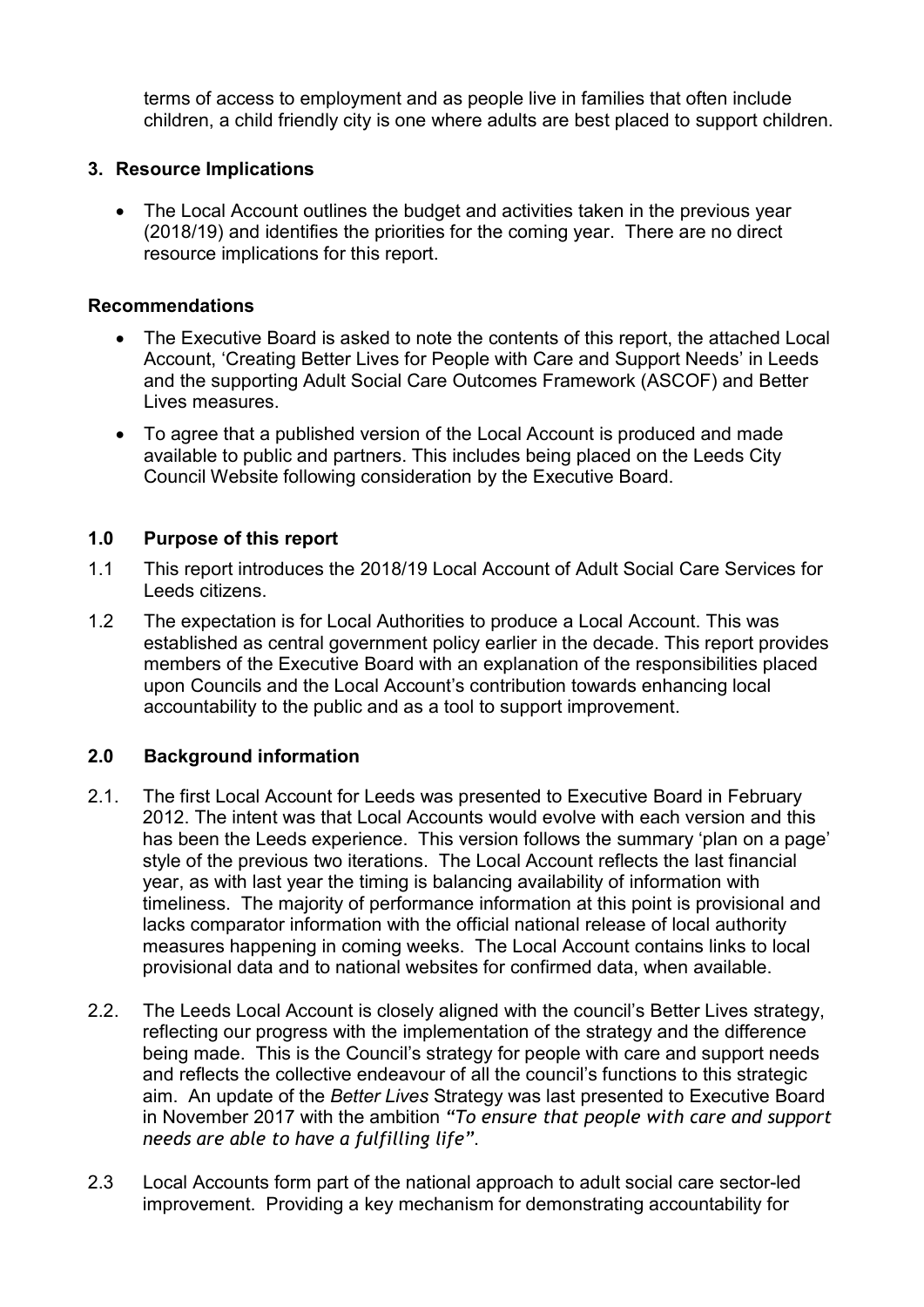terms of access to employment and as people live in families that often include children, a child friendly city is one where adults are best placed to support children.

### 3. Resource Implications

 The Local Account outlines the budget and activities taken in the previous year (2018/19) and identifies the priorities for the coming year. There are no direct resource implications for this report.

#### Recommendations

- The Executive Board is asked to note the contents of this report, the attached Local Account, 'Creating Better Lives for People with Care and Support Needs' in Leeds and the supporting Adult Social Care Outcomes Framework (ASCOF) and Better Lives measures.
- To agree that a published version of the Local Account is produced and made available to public and partners. This includes being placed on the Leeds City Council Website following consideration by the Executive Board.

#### 1.0 Purpose of this report

- 1.1 This report introduces the 2018/19 Local Account of Adult Social Care Services for Leeds citizens.
- 1.2 The expectation is for Local Authorities to produce a Local Account. This was established as central government policy earlier in the decade. This report provides members of the Executive Board with an explanation of the responsibilities placed upon Councils and the Local Account's contribution towards enhancing local accountability to the public and as a tool to support improvement.

## 2.0 Background information

- 2.1. The first Local Account for Leeds was presented to Executive Board in February 2012. The intent was that Local Accounts would evolve with each version and this has been the Leeds experience. This version follows the summary 'plan on a page' style of the previous two iterations. The Local Account reflects the last financial year, as with last year the timing is balancing availability of information with timeliness. The majority of performance information at this point is provisional and lacks comparator information with the official national release of local authority measures happening in coming weeks. The Local Account contains links to local provisional data and to national websites for confirmed data, when available.
- 2.2. The Leeds Local Account is closely aligned with the council's Better Lives strategy, reflecting our progress with the implementation of the strategy and the difference being made. This is the Council's strategy for people with care and support needs and reflects the collective endeavour of all the council's functions to this strategic aim. An update of the Better Lives Strategy was last presented to Executive Board in November 2017 with the ambition "To ensure that people with care and support needs are able to have a fulfilling life".
- 2.3 Local Accounts form part of the national approach to adult social care sector-led improvement. Providing a key mechanism for demonstrating accountability for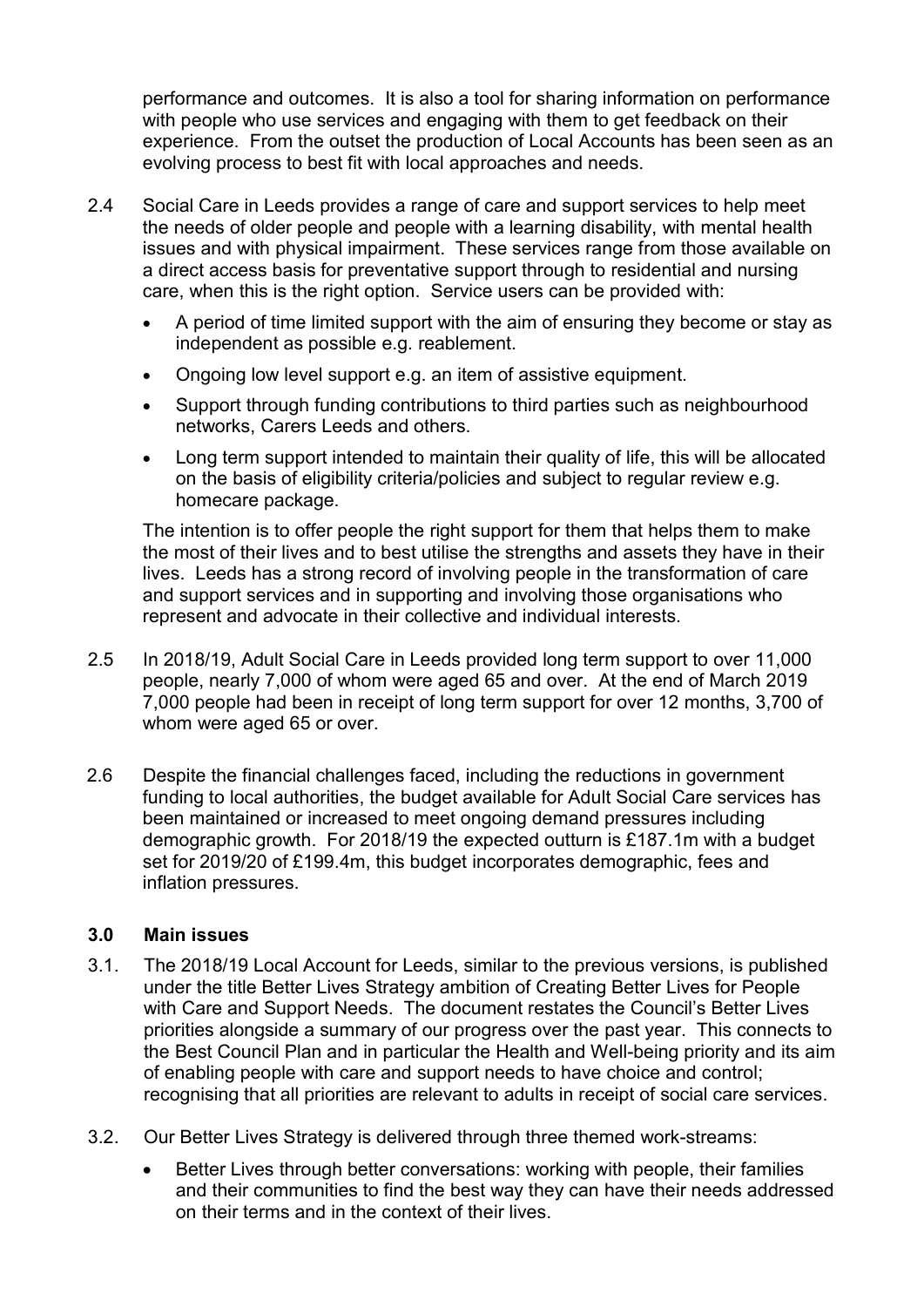performance and outcomes. It is also a tool for sharing information on performance with people who use services and engaging with them to get feedback on their experience. From the outset the production of Local Accounts has been seen as an evolving process to best fit with local approaches and needs.

- 2.4 Social Care in Leeds provides a range of care and support services to help meet the needs of older people and people with a learning disability, with mental health issues and with physical impairment. These services range from those available on a direct access basis for preventative support through to residential and nursing care, when this is the right option. Service users can be provided with:
	- A period of time limited support with the aim of ensuring they become or stay as independent as possible e.g. reablement.
	- Ongoing low level support e.g. an item of assistive equipment.
	- Support through funding contributions to third parties such as neighbourhood networks, Carers Leeds and others.
	- Long term support intended to maintain their quality of life, this will be allocated on the basis of eligibility criteria/policies and subject to regular review e.g. homecare package.

The intention is to offer people the right support for them that helps them to make the most of their lives and to best utilise the strengths and assets they have in their lives. Leeds has a strong record of involving people in the transformation of care and support services and in supporting and involving those organisations who represent and advocate in their collective and individual interests.

- 2.5 In 2018/19, Adult Social Care in Leeds provided long term support to over 11,000 people, nearly 7,000 of whom were aged 65 and over. At the end of March 2019 7,000 people had been in receipt of long term support for over 12 months, 3,700 of whom were aged 65 or over.
- 2.6 Despite the financial challenges faced, including the reductions in government funding to local authorities, the budget available for Adult Social Care services has been maintained or increased to meet ongoing demand pressures including demographic growth. For 2018/19 the expected outturn is £187.1m with a budget set for 2019/20 of £199.4m, this budget incorporates demographic, fees and inflation pressures.

#### 3.0 Main issues

- 3.1. The 2018/19 Local Account for Leeds, similar to the previous versions, is published under the title Better Lives Strategy ambition of Creating Better Lives for People with Care and Support Needs. The document restates the Council's Better Lives priorities alongside a summary of our progress over the past year. This connects to the Best Council Plan and in particular the Health and Well-being priority and its aim of enabling people with care and support needs to have choice and control; recognising that all priorities are relevant to adults in receipt of social care services.
- 3.2. Our Better Lives Strategy is delivered through three themed work-streams:
	- Better Lives through better conversations: working with people, their families and their communities to find the best way they can have their needs addressed on their terms and in the context of their lives.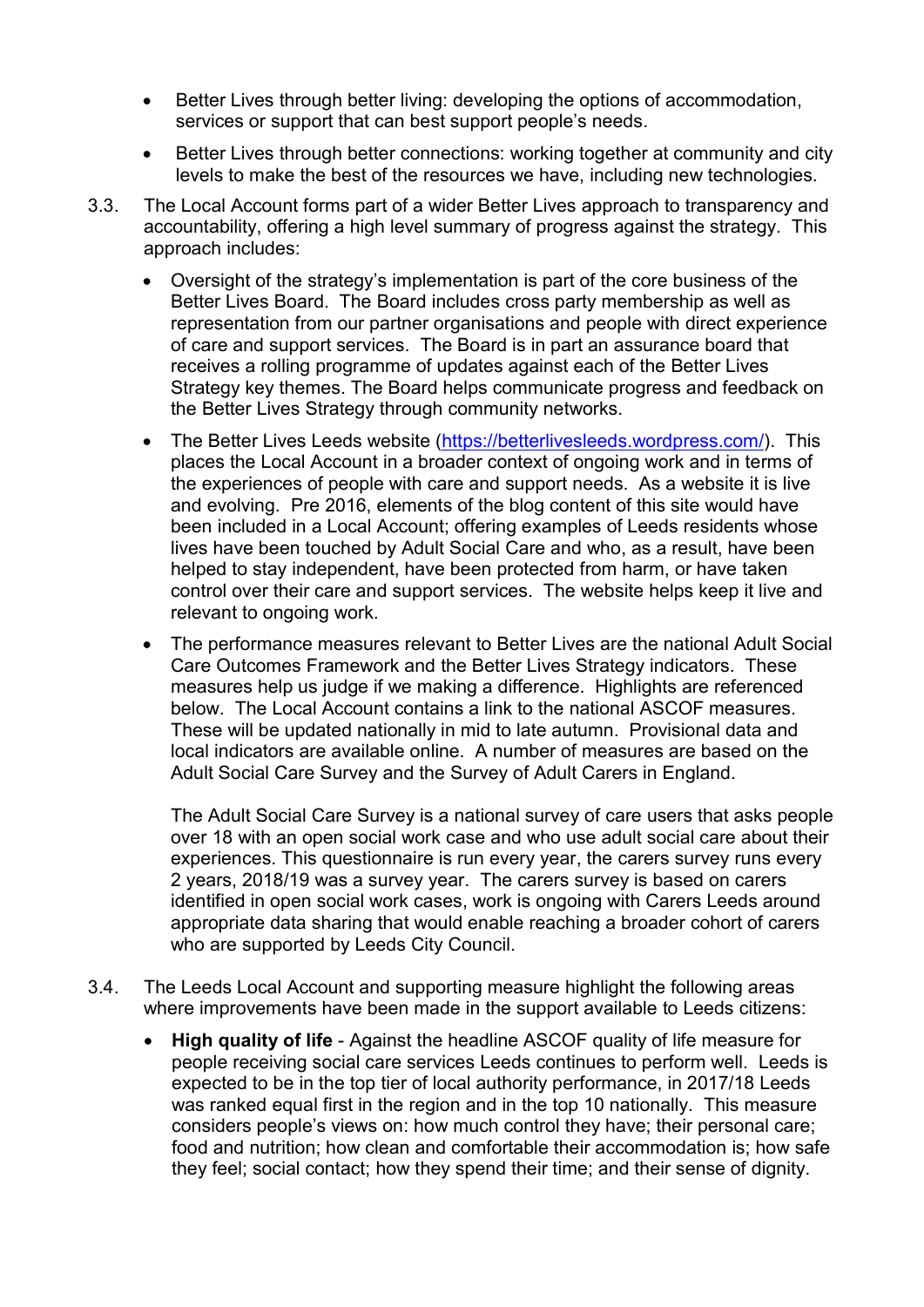- Better Lives through better living: developing the options of accommodation, services or support that can best support people's needs.
- Better Lives through better connections: working together at community and city levels to make the best of the resources we have, including new technologies.
- 3.3. The Local Account forms part of a wider Better Lives approach to transparency and accountability, offering a high level summary of progress against the strategy. This approach includes:
	- Oversight of the strategy's implementation is part of the core business of the Better Lives Board. The Board includes cross party membership as well as representation from our partner organisations and people with direct experience of care and support services. The Board is in part an assurance board that receives a rolling programme of updates against each of the Better Lives Strategy key themes. The Board helps communicate progress and feedback on the Better Lives Strategy through community networks.
	- The Better Lives Leeds website (https://betterlivesleeds.wordpress.com/). This places the Local Account in a broader context of ongoing work and in terms of the experiences of people with care and support needs. As a website it is live and evolving. Pre 2016, elements of the blog content of this site would have been included in a Local Account; offering examples of Leeds residents whose lives have been touched by Adult Social Care and who, as a result, have been helped to stay independent, have been protected from harm, or have taken control over their care and support services. The website helps keep it live and relevant to ongoing work.
	- The performance measures relevant to Better Lives are the national Adult Social Care Outcomes Framework and the Better Lives Strategy indicators. These measures help us judge if we making a difference. Highlights are referenced below. The Local Account contains a link to the national ASCOF measures. These will be updated nationally in mid to late autumn. Provisional data and local indicators are available online. A number of measures are based on the Adult Social Care Survey and the Survey of Adult Carers in England.

The Adult Social Care Survey is a national survey of care users that asks people over 18 with an open social work case and who use adult social care about their experiences. This questionnaire is run every year, the carers survey runs every 2 years, 2018/19 was a survey year. The carers survey is based on carers identified in open social work cases, work is ongoing with Carers Leeds around appropriate data sharing that would enable reaching a broader cohort of carers who are supported by Leeds City Council.

- 3.4. The Leeds Local Account and supporting measure highlight the following areas where improvements have been made in the support available to Leeds citizens:
	- High quality of life Against the headline ASCOF quality of life measure for people receiving social care services Leeds continues to perform well. Leeds is expected to be in the top tier of local authority performance, in 2017/18 Leeds was ranked equal first in the region and in the top 10 nationally. This measure considers people's views on: how much control they have; their personal care; food and nutrition; how clean and comfortable their accommodation is; how safe they feel; social contact; how they spend their time; and their sense of dignity.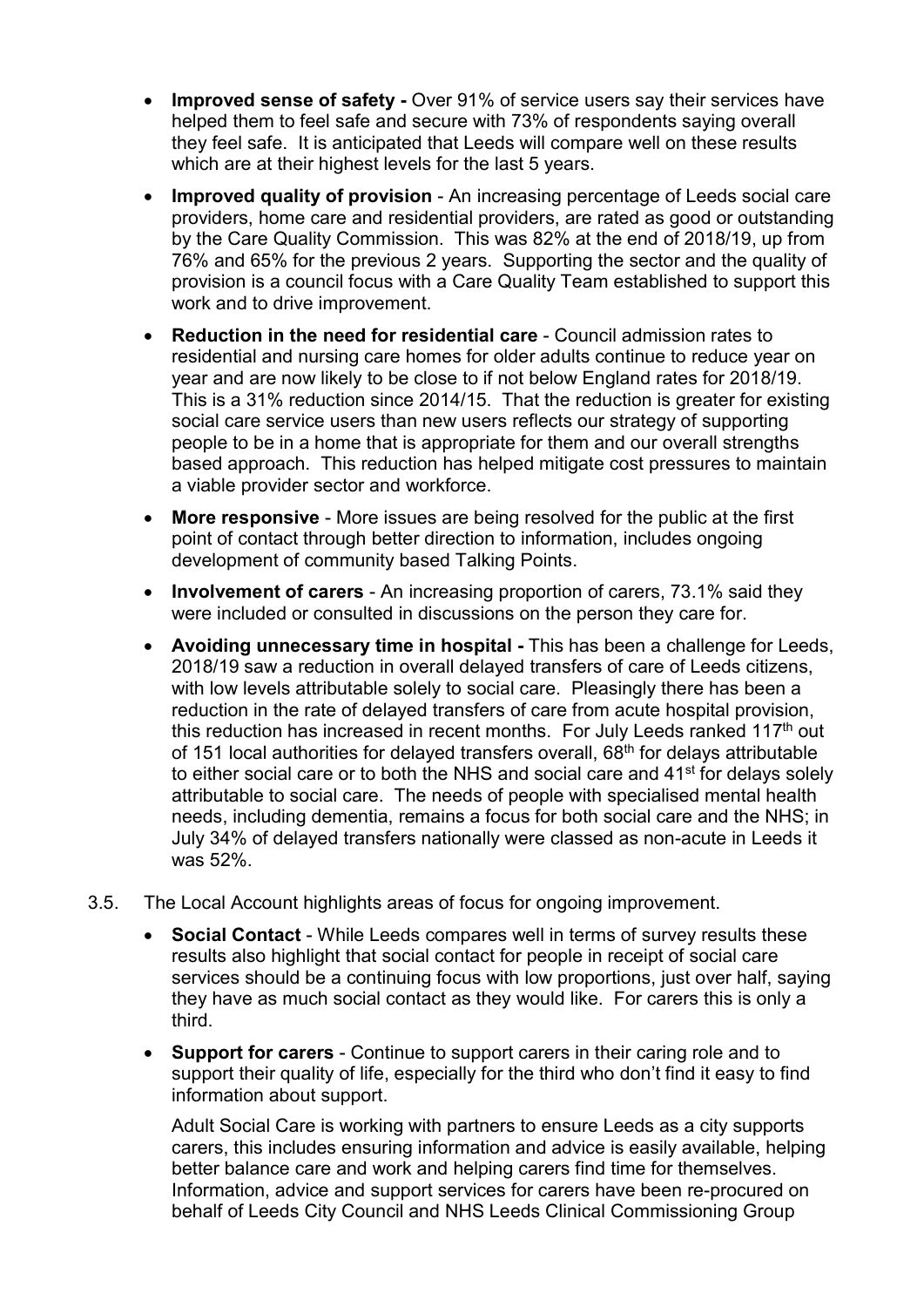- Improved sense of safety Over 91% of service users say their services have helped them to feel safe and secure with 73% of respondents saying overall they feel safe. It is anticipated that Leeds will compare well on these results which are at their highest levels for the last 5 years.
- Improved quality of provision An increasing percentage of Leeds social care providers, home care and residential providers, are rated as good or outstanding by the Care Quality Commission. This was 82% at the end of 2018/19, up from 76% and 65% for the previous 2 years. Supporting the sector and the quality of provision is a council focus with a Care Quality Team established to support this work and to drive improvement.
- Reduction in the need for residential care Council admission rates to residential and nursing care homes for older adults continue to reduce year on year and are now likely to be close to if not below England rates for 2018/19. This is a 31% reduction since 2014/15. That the reduction is greater for existing social care service users than new users reflects our strategy of supporting people to be in a home that is appropriate for them and our overall strengths based approach. This reduction has helped mitigate cost pressures to maintain a viable provider sector and workforce.
- More responsive More issues are being resolved for the public at the first point of contact through better direction to information, includes ongoing development of community based Talking Points.
- Involvement of carers An increasing proportion of carers, 73.1% said they were included or consulted in discussions on the person they care for.
- Avoiding unnecessary time in hospital This has been a challenge for Leeds, 2018/19 saw a reduction in overall delayed transfers of care of Leeds citizens, with low levels attributable solely to social care. Pleasingly there has been a reduction in the rate of delayed transfers of care from acute hospital provision, this reduction has increased in recent months. For July Leeds ranked 117<sup>th</sup> out of 151 local authorities for delayed transfers overall,  $68<sup>th</sup>$  for delays attributable to either social care or to both the NHS and social care and 41st for delays solely attributable to social care. The needs of people with specialised mental health needs, including dementia, remains a focus for both social care and the NHS; in July 34% of delayed transfers nationally were classed as non-acute in Leeds it was 52%.
- 3.5. The Local Account highlights areas of focus for ongoing improvement.
	- Social Contact While Leeds compares well in terms of survey results these results also highlight that social contact for people in receipt of social care services should be a continuing focus with low proportions, just over half, saying they have as much social contact as they would like. For carers this is only a third.
	- Support for carers Continue to support carers in their caring role and to support their quality of life, especially for the third who don't find it easy to find information about support.

Adult Social Care is working with partners to ensure Leeds as a city supports carers, this includes ensuring information and advice is easily available, helping better balance care and work and helping carers find time for themselves. Information, advice and support services for carers have been re-procured on behalf of Leeds City Council and NHS Leeds Clinical Commissioning Group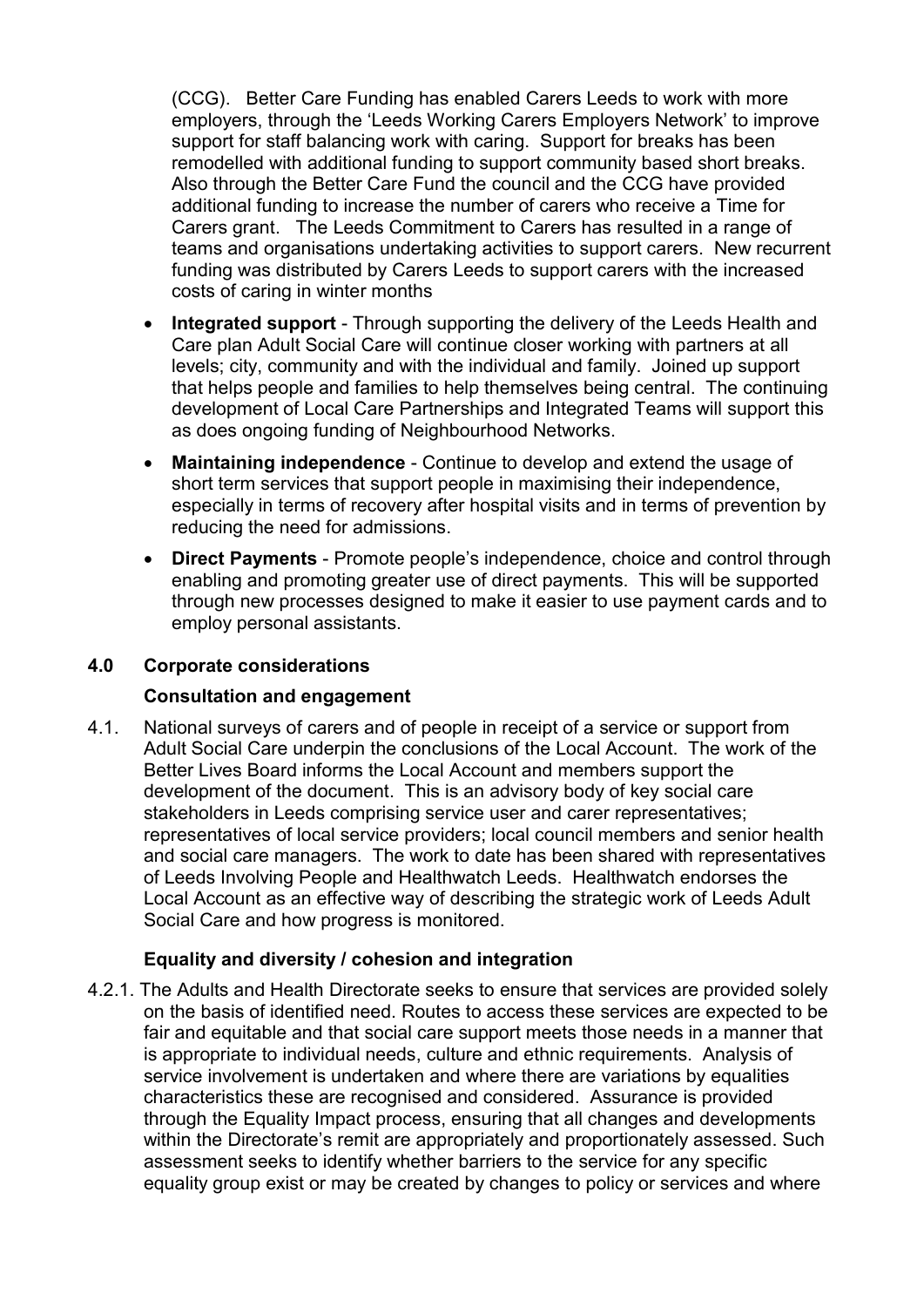(CCG). Better Care Funding has enabled Carers Leeds to work with more employers, through the 'Leeds Working Carers Employers Network' to improve support for staff balancing work with caring. Support for breaks has been remodelled with additional funding to support community based short breaks. Also through the Better Care Fund the council and the CCG have provided additional funding to increase the number of carers who receive a Time for Carers grant. The Leeds Commitment to Carers has resulted in a range of teams and organisations undertaking activities to support carers. New recurrent funding was distributed by Carers Leeds to support carers with the increased costs of caring in winter months

- Integrated support Through supporting the delivery of the Leeds Health and Care plan Adult Social Care will continue closer working with partners at all levels; city, community and with the individual and family. Joined up support that helps people and families to help themselves being central. The continuing development of Local Care Partnerships and Integrated Teams will support this as does ongoing funding of Neighbourhood Networks.
- Maintaining independence Continue to develop and extend the usage of short term services that support people in maximising their independence, especially in terms of recovery after hospital visits and in terms of prevention by reducing the need for admissions.
- Direct Payments Promote people's independence, choice and control through enabling and promoting greater use of direct payments. This will be supported through new processes designed to make it easier to use payment cards and to employ personal assistants.

## 4.0 Corporate considerations

#### Consultation and engagement

4.1. National surveys of carers and of people in receipt of a service or support from Adult Social Care underpin the conclusions of the Local Account. The work of the Better Lives Board informs the Local Account and members support the development of the document. This is an advisory body of key social care stakeholders in Leeds comprising service user and carer representatives; representatives of local service providers; local council members and senior health and social care managers. The work to date has been shared with representatives of Leeds Involving People and Healthwatch Leeds. Healthwatch endorses the Local Account as an effective way of describing the strategic work of Leeds Adult Social Care and how progress is monitored.

## Equality and diversity / cohesion and integration

4.2.1. The Adults and Health Directorate seeks to ensure that services are provided solely on the basis of identified need. Routes to access these services are expected to be fair and equitable and that social care support meets those needs in a manner that is appropriate to individual needs, culture and ethnic requirements. Analysis of service involvement is undertaken and where there are variations by equalities characteristics these are recognised and considered. Assurance is provided through the Equality Impact process, ensuring that all changes and developments within the Directorate's remit are appropriately and proportionately assessed. Such assessment seeks to identify whether barriers to the service for any specific equality group exist or may be created by changes to policy or services and where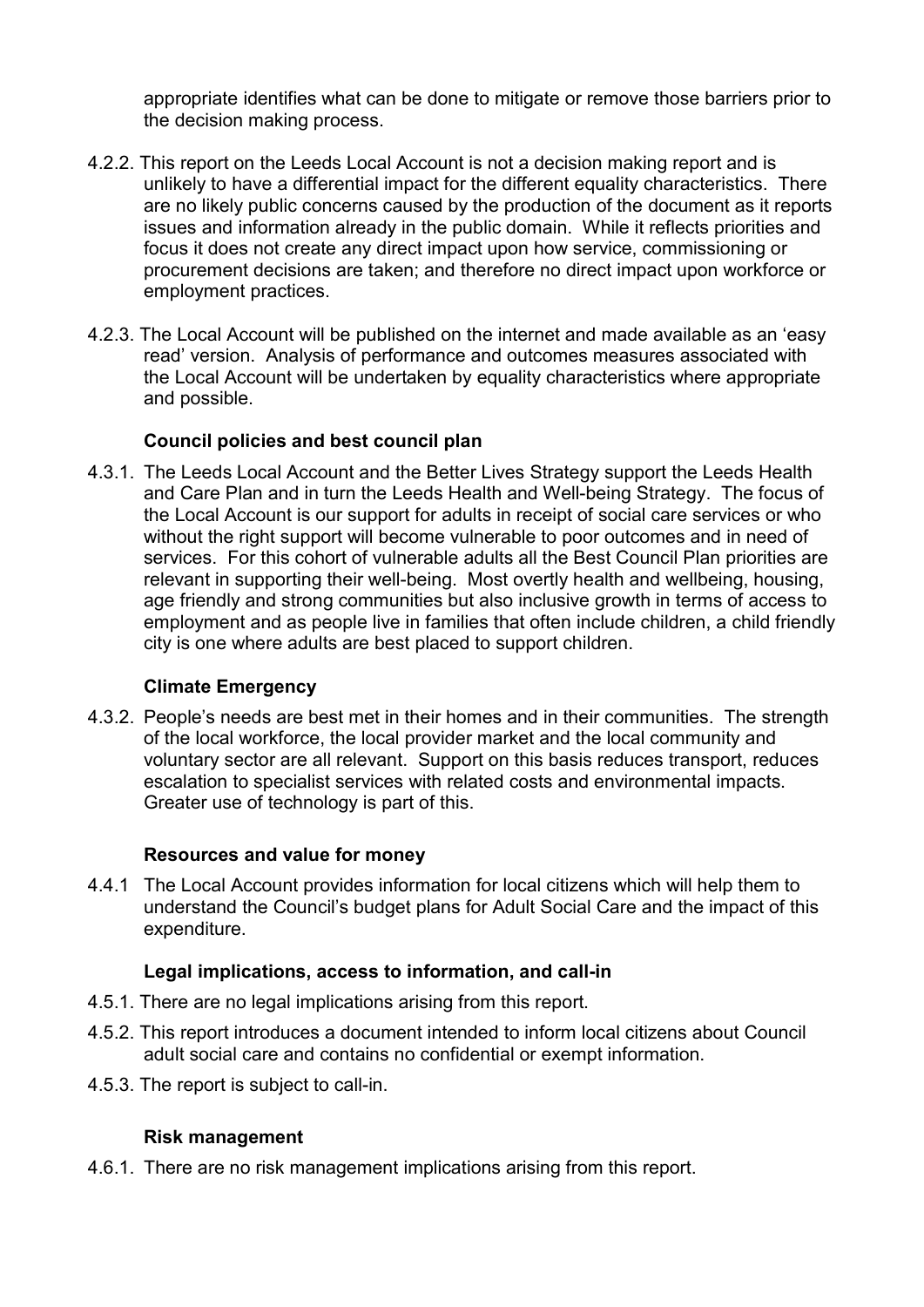appropriate identifies what can be done to mitigate or remove those barriers prior to the decision making process.

- 4.2.2. This report on the Leeds Local Account is not a decision making report and is unlikely to have a differential impact for the different equality characteristics. There are no likely public concerns caused by the production of the document as it reports issues and information already in the public domain. While it reflects priorities and focus it does not create any direct impact upon how service, commissioning or procurement decisions are taken; and therefore no direct impact upon workforce or employment practices.
- 4.2.3. The Local Account will be published on the internet and made available as an 'easy read' version. Analysis of performance and outcomes measures associated with the Local Account will be undertaken by equality characteristics where appropriate and possible.

#### Council policies and best council plan

4.3.1. The Leeds Local Account and the Better Lives Strategy support the Leeds Health and Care Plan and in turn the Leeds Health and Well-being Strategy. The focus of the Local Account is our support for adults in receipt of social care services or who without the right support will become vulnerable to poor outcomes and in need of services. For this cohort of vulnerable adults all the Best Council Plan priorities are relevant in supporting their well-being. Most overtly health and wellbeing, housing, age friendly and strong communities but also inclusive growth in terms of access to employment and as people live in families that often include children, a child friendly city is one where adults are best placed to support children.

#### Climate Emergency

4.3.2. People's needs are best met in their homes and in their communities. The strength of the local workforce, the local provider market and the local community and voluntary sector are all relevant. Support on this basis reduces transport, reduces escalation to specialist services with related costs and environmental impacts. Greater use of technology is part of this.

## Resources and value for money

4.4.1 The Local Account provides information for local citizens which will help them to understand the Council's budget plans for Adult Social Care and the impact of this expenditure.

#### Legal implications, access to information, and call-in

- 4.5.1. There are no legal implications arising from this report.
- 4.5.2. This report introduces a document intended to inform local citizens about Council adult social care and contains no confidential or exempt information.
- 4.5.3. The report is subject to call-in.

#### Risk management

4.6.1. There are no risk management implications arising from this report.